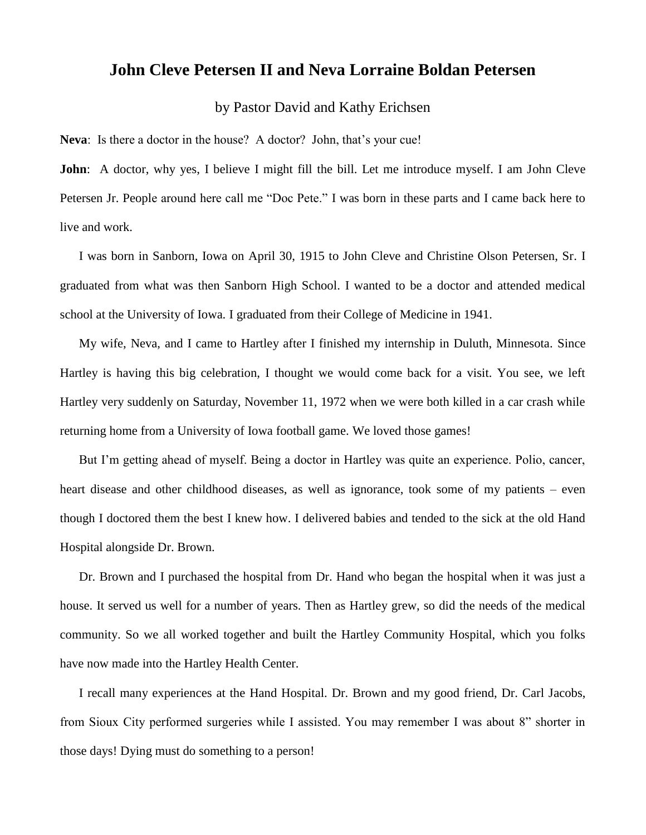## **John Cleve Petersen II and Neva Lorraine Boldan Petersen**

## by Pastor David and Kathy Erichsen

**Neva**: Is there a doctor in the house? A doctor? John, that's your cue!

**John**: A doctor, why yes, I believe I might fill the bill. Let me introduce myself. I am John Cleve Petersen Jr. People around here call me "Doc Pete." I was born in these parts and I came back here to live and work.

I was born in Sanborn, Iowa on April 30, 1915 to John Cleve and Christine Olson Petersen, Sr. I graduated from what was then Sanborn High School. I wanted to be a doctor and attended medical school at the University of Iowa. I graduated from their College of Medicine in 1941.

My wife, Neva, and I came to Hartley after I finished my internship in Duluth, Minnesota. Since Hartley is having this big celebration, I thought we would come back for a visit. You see, we left Hartley very suddenly on Saturday, November 11, 1972 when we were both killed in a car crash while returning home from a University of Iowa football game. We loved those games!

But I'm getting ahead of myself. Being a doctor in Hartley was quite an experience. Polio, cancer, heart disease and other childhood diseases, as well as ignorance, took some of my patients – even though I doctored them the best I knew how. I delivered babies and tended to the sick at the old Hand Hospital alongside Dr. Brown.

Dr. Brown and I purchased the hospital from Dr. Hand who began the hospital when it was just a house. It served us well for a number of years. Then as Hartley grew, so did the needs of the medical community. So we all worked together and built the Hartley Community Hospital, which you folks have now made into the Hartley Health Center.

I recall many experiences at the Hand Hospital. Dr. Brown and my good friend, Dr. Carl Jacobs, from Sioux City performed surgeries while I assisted. You may remember I was about 8" shorter in those days! Dying must do something to a person!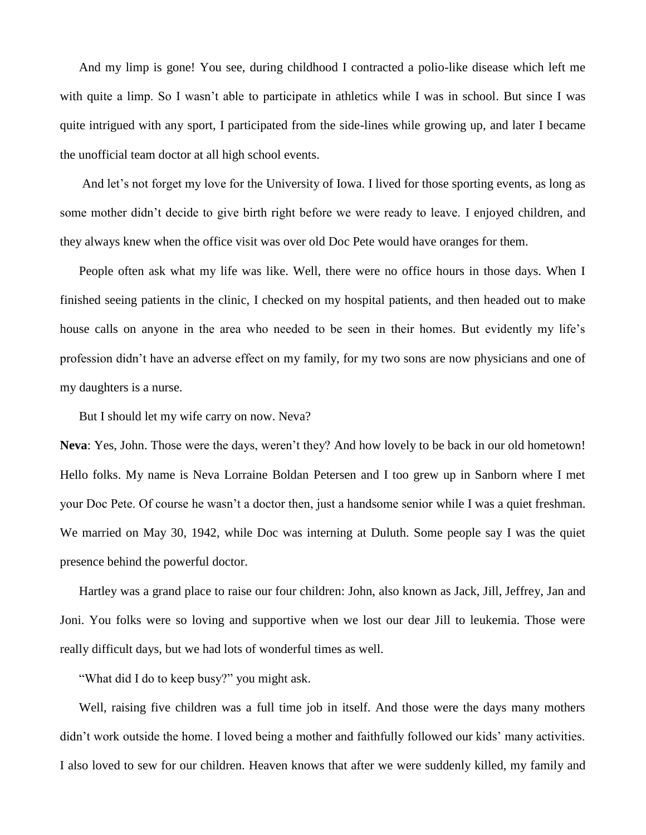And my limp is gone! You see, during childhood I contracted a polio-like disease which left me with quite a limp. So I wasn't able to participate in athletics while I was in school. But since I was quite intrigued with any sport, I participated from the side-lines while growing up, and later I became the unofficial team doctor at all high school events.

And let's not forget my love for the University of Iowa. I lived for those sporting events, as long as some mother didn't decide to give birth right before we were ready to leave. I enjoyed children, and they always knew when the office visit was over old Doc Pete would have oranges for them.

People often ask what my life was like. Well, there were no office hours in those days. When I finished seeing patients in the clinic, I checked on my hospital patients, and then headed out to make house calls on anyone in the area who needed to be seen in their homes. But evidently my life's profession didn't have an adverse effect on my family, for my two sons are now physicians and one of my daughters is a nurse.

But I should let my wife carry on now. Neva?

**Neva**: Yes, John. Those were the days, weren't they? And how lovely to be back in our old hometown! Hello folks. My name is Neva Lorraine Boldan Petersen and I too grew up in Sanborn where I met your Doc Pete. Of course he wasn't a doctor then, just a handsome senior while I was a quiet freshman. We married on May 30, 1942, while Doc was interning at Duluth. Some people say I was the quiet presence behind the powerful doctor.

Hartley was a grand place to raise our four children: John, also known as Jack, Jill, Jeffrey, Jan and Joni. You folks were so loving and supportive when we lost our dear Jill to leukemia. Those were really difficult days, but we had lots of wonderful times as well.

"What did I do to keep busy?" you might ask.

Well, raising five children was a full time job in itself. And those were the days many mothers didn't work outside the home. I loved being a mother and faithfully followed our kids' many activities. I also loved to sew for our children. Heaven knows that after we were suddenly killed, my family and